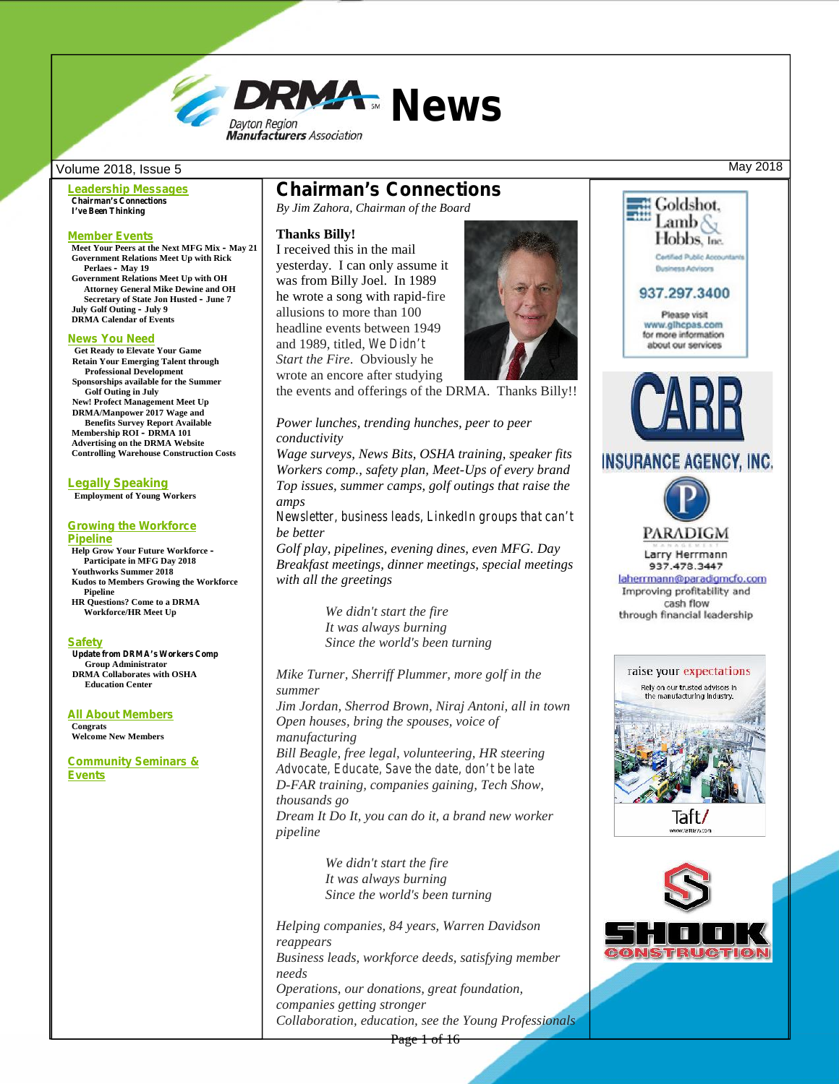

**Leadership Messages Chairman's Connections I've Been Thinking**

#### **Member Events**

**Meet Your Peers at the Next MFG Mix – May 21 Government Relations Meet Up with Rick Perlaes – May 19 Government Relations Meet Up with OH Attorney General Mike Dewine and OH Secretary of State Jon Husted – June 7 July Golf Outing – July 9 DRMA Calendar of Events**

#### **News You Need**

**Get Ready to Elevate Your Game Retain Your Emerging Talent through Professional Development Sponsorships available for the Summer Golf Outing in July New! Profect Management Meet Up DRMA/Manpower 2017 Wage and Benefits Survey Report Available Membership ROI – DRMA 101 Advertising on the DRMA Website Controlling Warehouse Construction Costs**

#### **Legally Speaking**

**Employment of Young Workers**

#### **Growing the Workforce**

**Pipeline Help Grow Your Future Workforce – Participate in MFG Day 2018 Youthworks Summer 2018 Kudos to Members Growing the Workforce Pipeline HR Questions? Come to a DRMA Workforce/HR Meet Up**

#### **Safety**

**Update from DRMA's Workers Comp Group Administrator DRMA Collaborates with OSHA Education Center**

#### **All About Members**

**Congrats Welcome New Members**

**Community Seminars & Events**

### **Chairman's Connections**

*By Jim Zahora, Chairman of the Board*

#### **Thanks Billy!**

I received this in the mail yesterday. I can only assume it was from Billy Joel. In 1989 he wrote a song with rapid-fire allusions to more than 100 headline events between 1949 and 1989, titled, *We Didn't Start the Fire*. Obviously he wrote an encore after studying



the events and offerings of the DRMA. Thanks Billy!!

#### *Power lunches, trending hunches, peer to peer conductivity*

*Wage surveys, News Bits, OSHA training, speaker fits Workers comp., safety plan, Meet-Ups of every brand Top issues, summer camps, golf outings that raise the amps*

*Newsletter, business leads, LinkedIn groups that can't be better*

*Golf play, pipelines, evening dines, even MFG. Day Breakfast meetings, dinner meetings, special meetings with all the greetings*

> *We didn't start the fire It was always burning Since the world's been turning*

*Mike Turner, Sherriff Plummer, more golf in the summer Jim Jordan, Sherrod Brown, Niraj Antoni, all in town Open houses, bring the spouses, voice of manufacturing Bill Beagle, free legal, volunteering, HR steering Advocate, Educate, Save the date, don't be late D-FAR training, companies gaining, Tech Show, thousands go Dream It Do It, you can do it, a brand new worker pipeline*

> *We didn't start the fire It was always burning Since the world's been turning*

*Helping companies, 84 years, Warren Davidson reappears Business leads, workforce deeds, satisfying member needs Operations, our donations, great foundation, companies getting stronger Collaboration, education, see the Young Professionals*



# Goldshot. Lamb $\mathcal{S}_J$ Hobbs, Inc. Certified Public Aco





Page 1 of 16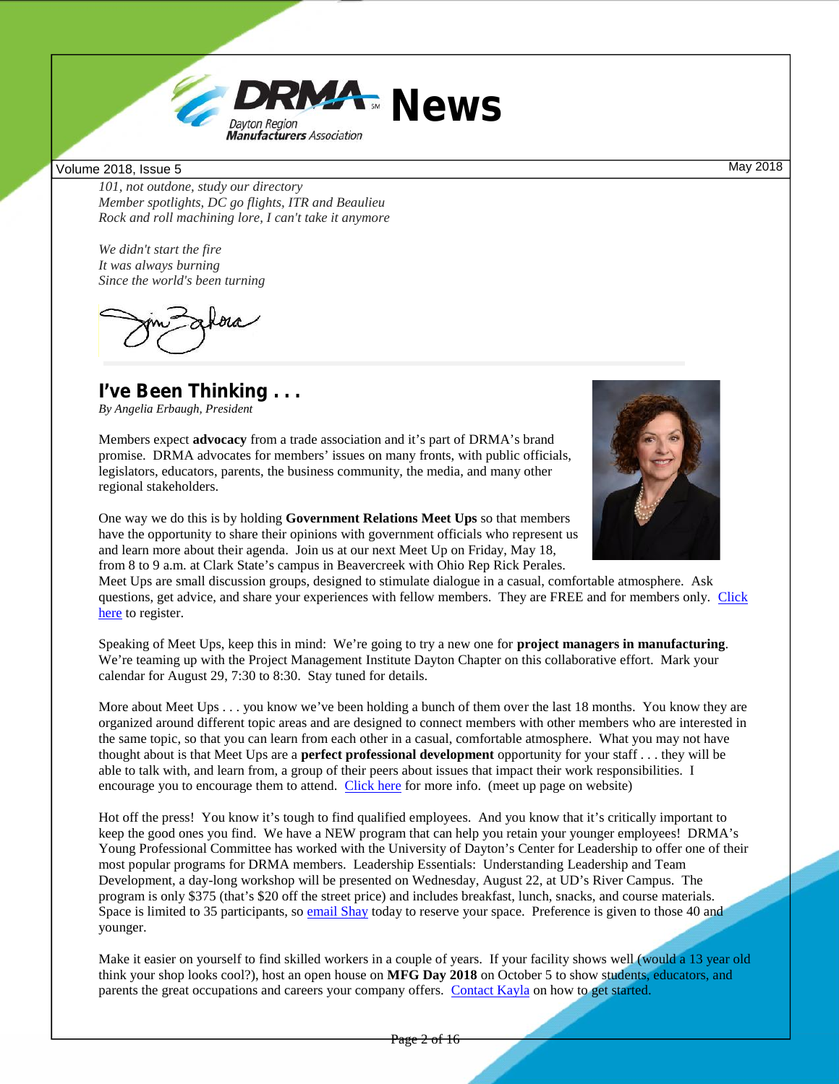

*101, not outdone, study our directory Member spotlights, DC go flights, ITR and Beaulieu Rock and roll machining lore, I can't take it anymore*

*We didn't start the fire It was always burning Since the world's been turning*

**I've Been Thinking . . .** *By Angelia Erbaugh, President*

Members expect **advocacy** from a trade association and it's part of DRMA's brand promise. DRMA advocates for members' issues on many fronts, with public officials, legislators, educators, parents, the business community, the media, and many other regional stakeholders.

One way we do this is by holding **Government Relations Meet Ups** so that members have the opportunity to share their opinions with government officials who represent us and learn more about their agenda. Join us at our next Meet Up on Friday, May 18, from 8 to 9 a.m. at Clark State's campus in Beavercreek with Ohio Rep Rick Perales.

Meet Ups are small discussion groups, designed to stimulate dialogue in a casual, comfortable atmosphere. Ask questions, get advice, and share your experiences with fellow members. They are FREE and for members only. Click here to register.

Speaking of Meet Ups, keep this in mind: We're going to try a new one for **project managers in manufacturing**. We're teaming up with the Project Management Institute Dayton Chapter on this collaborative effort. Mark your calendar for August 29, 7:30 to 8:30. Stay tuned for details.

More about Meet Ups . . . you know we've been holding a bunch of them over the last 18 months. You know they are organized around different topic areas and are designed to connect members with other members who are interested in the same topic, so that you can learn from each other in a casual, comfortable atmosphere. What you may not have thought about is that Meet Ups are a **perfect professional development** opportunity for your staff . . . they will be able to talk with, and learn from, a group of their peers about issues that impact their work responsibilities. I encourage you to encourage them to attend. Click here for more info. (meet up page on website)

Hot off the press! You know it's tough to find qualified employees. And you know that it's critically important to keep the good ones you find. We have a NEW program that can help you retain your younger employees! DRMA's Young Professional Committee has worked with the University of Dayton's Center for Leadership to offer one of their most popular programs for DRMA members. Leadership Essentials: Understanding Leadership and Team Development, a day-long workshop will be presented on Wednesday, August 22, at UD's River Campus. The program is only \$375 (that's \$20 off the street price) and includes breakfast, lunch, snacks, and course materials. Space is limited to 35 participants, so email Shay today to reserve your space. Preference is given to those 40 and younger.

Make it easier on yourself to find skilled workers in a couple of years. If your facility shows well (would a 13 year old think your shop looks cool?), host an open house on **MFG Day 2018** on October 5 to show students, educators, and parents the great occupations and careers your company offers. Contact Kayla on how to get started.

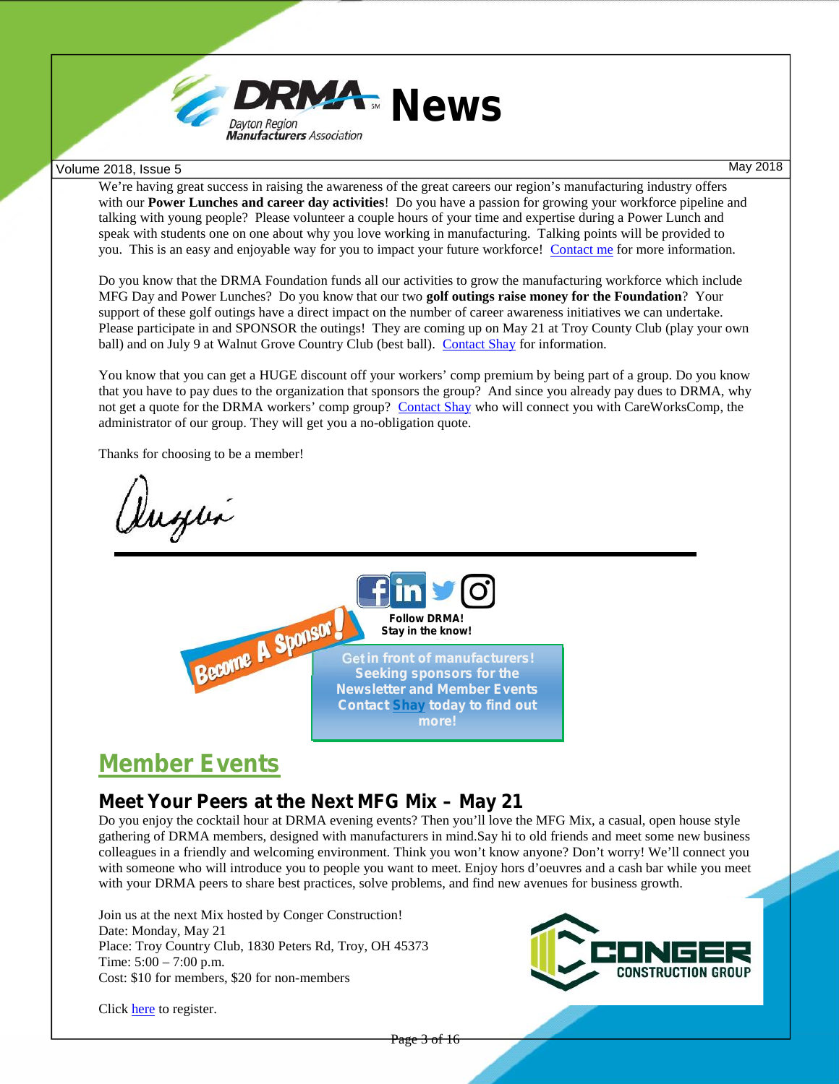

We're having great success in raising the awareness of the great careers our region's manufacturing industry offers with our **Power Lunches and career day activities**! Do you have a passion for growing your workforce pipeline and talking with young people? Please volunteer a couple hours of your time and expertise during a Power Lunch and speak with students one on one about why you love working in manufacturing. Talking points will be provided to you. This is an easy and enjoyable way for you to impact your future workforce! Contact me for more information.

Do you know that the DRMA Foundation funds all our activities to grow the manufacturing workforce which include MFG Day and Power Lunches? Do you know that our two **golf outings raise money for the Foundation**? Your support of these golf outings have a direct impact on the number of career awareness initiatives we can undertake. Please participate in and SPONSOR the outings! They are coming up on May 21 at Troy County Club (play your own ball) and on July 9 at Walnut Grove Country Club (best ball). Contact Shay for information.

You know that you can get a HUGE discount off your workers' comp premium by being part of a group. Do you know that you have to pay dues to the organization that sponsors the group? And since you already pay dues to DRMA, why not get a quote for the DRMA workers' comp group? Contact Shay who will connect you with CareWorksComp, the administrator of our group. They will get you a no-obligation quote.

Thanks for choosing to be a member!

Jugui



**Stay in the know!**

Get in front of manufacturers! **Seeking sponsors for the Newsletter and Member Events Contact Shay today to find out more!**

**#DaytonRMA**

## **Member Events**

### **Meet Your Peers at the Next MFG Mix – May 21**

Do you enjoy the cocktail hour at DRMA evening events? Then you'll love the MFG Mix, a casual, open house style gathering of DRMA members, designed with manufacturers in mind.Say hi to old friends and meet some new business colleagues in a friendly and welcoming environment. Think you won't know anyone? Don't worry! We'll connect you with someone who will introduce you to people you want to meet. Enjoy hors d'oeuvres and a cash bar while you meet with your DRMA peers to share best practices, solve problems, and find new avenues for business growth.

Join us at the next Mix hosted by Conger Construction! Date: Monday, May 21 Place: Troy Country Club, 1830 Peters Rd, Troy, OH 45373 Time: 5:00 – 7:00 p.m. Cost: \$10 for members, \$20 for non-members



Click here to register.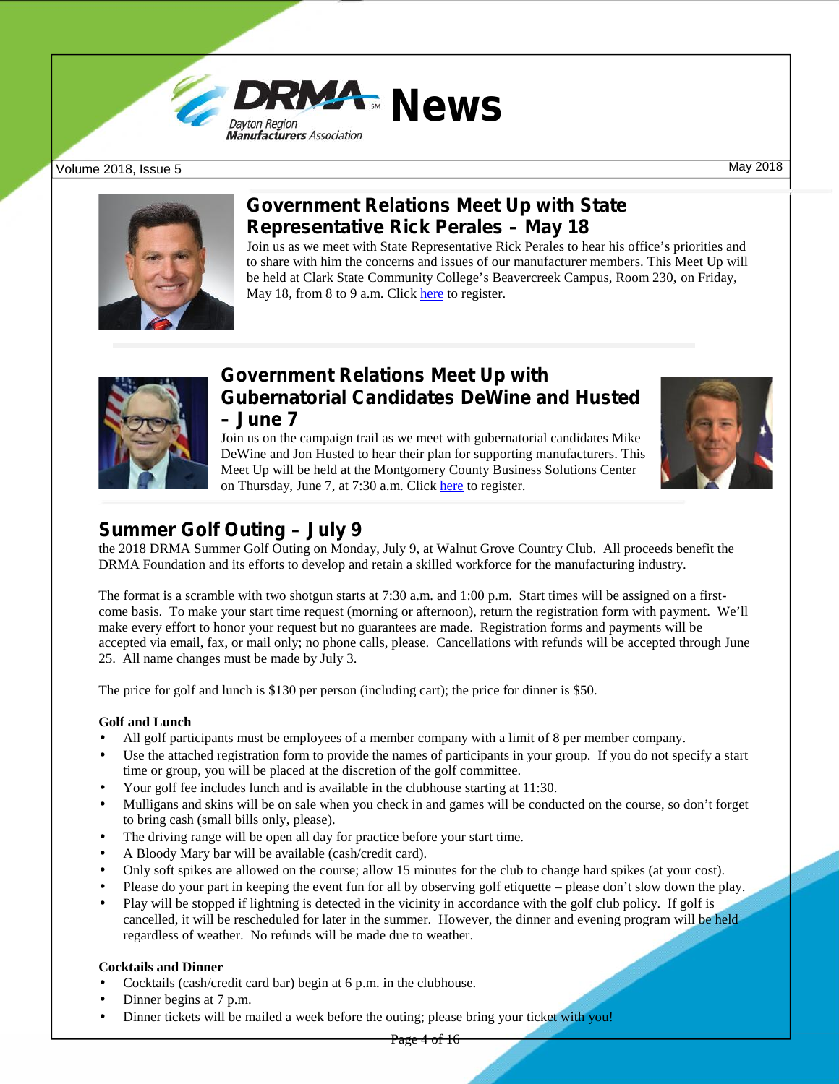



### **Government Relations Meet Up with State Representative Rick Perales – May 18**

Join us as we meet with State Representative Rick Perales to hear his office's priorities and to share with him the concerns and issues of our manufacturer members. This Meet Up will be held at Clark State Community College's Beavercreek Campus, Room 230, on Friday, May 18, from 8 to 9 a.m. Click here to register.



### **Government Relations Meet Up with Gubernatorial Candidates DeWine and Husted – June 7**

Join us on the campaign trail as we meet with gubernatorial candidates Mike DeWine and Jon Husted to hear their plan for supporting manufacturers. This Meet Up will be held at the Montgomery County Business Solutions Center on Thursday, June 7, at 7:30 a.m. Click here to register.



## **Summer Golf Outing – July 9**

the 2018 DRMA Summer Golf Outing on Monday, July 9, at Walnut Grove Country Club. All proceeds benefit the DRMA Foundation and its efforts to develop and retain a skilled workforce for the manufacturing industry.

The format is a scramble with two shotgun starts at 7:30 a.m. and 1:00 p.m. Start times will be assigned on a first come basis. To make your start time request (morning or afternoon), return the registration form with payment. We'll make every effort to honor your request but no guarantees are made. Registration forms and payments will be accepted via email, fax, or mail only; no phone calls, please. Cancellations with refunds will be accepted through June 25. All name changes must be made by July 3.

The price for golf and lunch is \$130 per person (including cart); the price for dinner is \$50.

### **Golf and Lunch**

- All golf participants must be employees of a member company with a limit of 8 per member company.
- Use the attached registration form to provide the names of participants in your group. If you do not specify a start time or group, you will be placed at the discretion of the golf committee.
- Your golf fee includes lunch and is available in the clubhouse starting at 11:30.
- Mulligans and skins will be on sale when you check in and games will be conducted on the course, so don't forget to bring cash (small bills only, please).
- The driving range will be open all day for practice before your start time.
- A Bloody Mary bar will be available (cash/credit card).
- Only soft spikes are allowed on the course; allow 15 minutes for the club to change hard spikes (at your cost).
- Please do your part in keeping the event fun for all by observing golf etiquette please don't slow down the play.
- Play will be stopped if lightning is detected in the vicinity in accordance with the golf club policy. If golf is cancelled, it will be rescheduled for later in the summer. However, the dinner and evening program will be held regardless of weather. No refunds will be made due to weather.

### **Cocktails and Dinner**

- Cocktails (cash/credit card bar) begin at 6 p.m. in the clubhouse.
- Dinner begins at 7 p.m.
- Dinner tickets will be mailed a week before the outing; please bring your ticket with you!

Page 4 of 16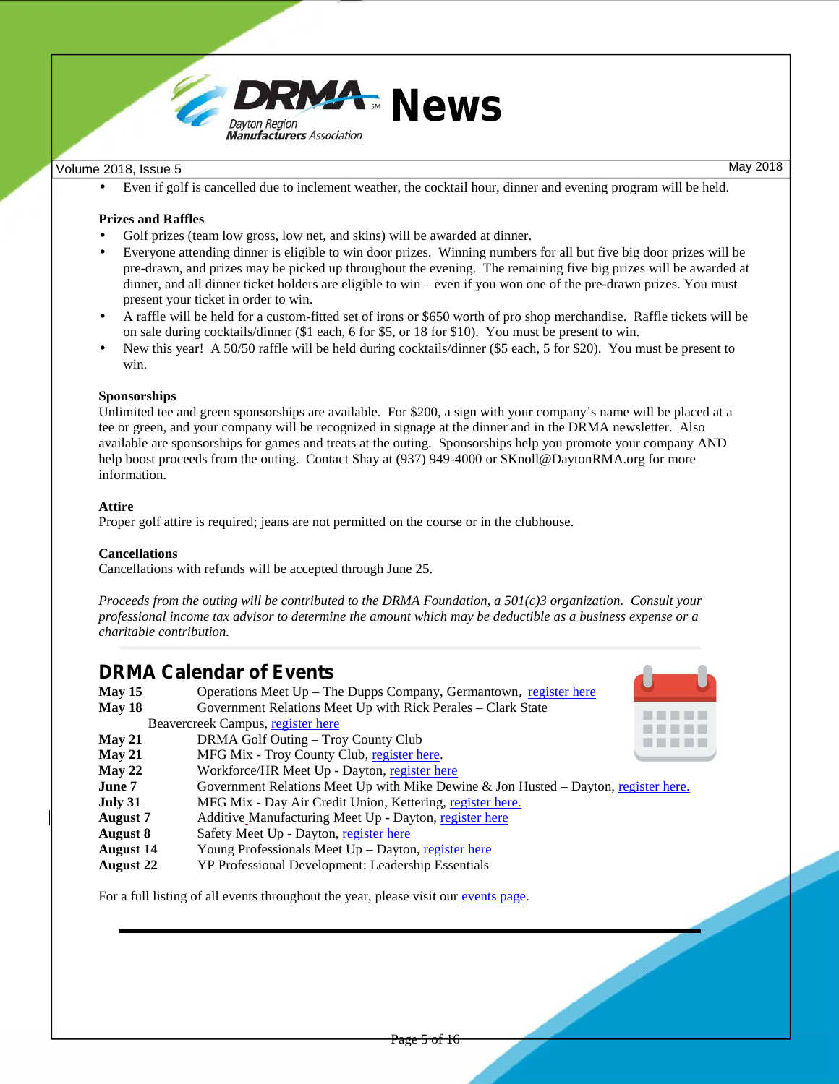

Even if golf is cancelled due to inclement weather, the cocktail hour, dinner and evening program will be held.

#### **Prizes and Raffles**

- Golf prizes (team low gross, low net, and skins) will be awarded at dinner.
- Everyone attending dinner is eligible to win door prizes. Winning numbers for all but five big door prizes will be pre-drawn, and prizes may be picked up throughout the evening. The remaining five big prizes will be awarded at dinner, and all dinner ticket holders are eligible to win – even if you won one of the pre-drawn prizes. You must present your ticket in order to win.
- A raffle will be held for a custom-fitted set of irons or \$650 worth of pro shop merchandise. Raffle tickets will be on sale during cocktails/dinner (\$1 each, 6 for \$5, or 18 for \$10). You must be present to win.
- New this year! A 50/50 raffle will be held during cocktails/dinner (\$5 each, 5 for \$20). You must be present to win.

#### **Sponsorships**

Unlimited tee and green sponsorships are available. For \$200, a sign with your company's name will be placed at a tee or green, and your company will be recognized in signage at the dinner and in the DRMA newsletter. Also available are sponsorships for games and treats at the outing. Sponsorships help you promote your company AND help boost proceeds from the outing. Contact Shay at (937) 949-4000 or SKnoll@DaytonRMA.org for more information.

#### **Attire**

Proper golf attire is required; jeans are not permitted on the course or in the clubhouse.

#### **Cancellations**

Cancellations with refunds will be accepted through June 25.

*Proceeds from the outing will be contributed to the DRMA Foundation, a 501(c)3 organization. Consult your professional income tax advisor to determine the amount which may be deductible as a business expense or a charitable contribution.*

### **DRMA Calendar of Events**

| <b>May 15</b> | Operations Meet Up – The Dupps Company, Germantown, register here                     |  |
|---------------|---------------------------------------------------------------------------------------|--|
| Mav 18        | Government Relations Meet Up with Rick Perales – Clark State                          |  |
|               | Beavercreek Campus, register here                                                     |  |
| <b>May 21</b> | DRMA Golf Outing – Troy County Club                                                   |  |
| <b>May 21</b> | MFG Mix - Troy County Club, register here.                                            |  |
| <b>May 22</b> | Workforce/HR Meet Up - Dayton, register here                                          |  |
| June 7        | Government Relations Meet Up with Mike Dewine & Jon Husted $-$ Dayton, register here. |  |
| July 31       | MFG Mix - Day Air Credit Union, Kettering, register here.                             |  |
| August 7      | Additive Manufacturing Meet Up - Dayton, register here                                |  |
| August 8      | Safety Meet Up - Dayton, register here                                                |  |
| August 14     | Young Professionals Meet Up – Dayton, register here                                   |  |
| August 22     | <b>YP Professional Development: Leadership Essentials</b>                             |  |
|               |                                                                                       |  |

For a full listing of all events throughout the year, please visit our events page.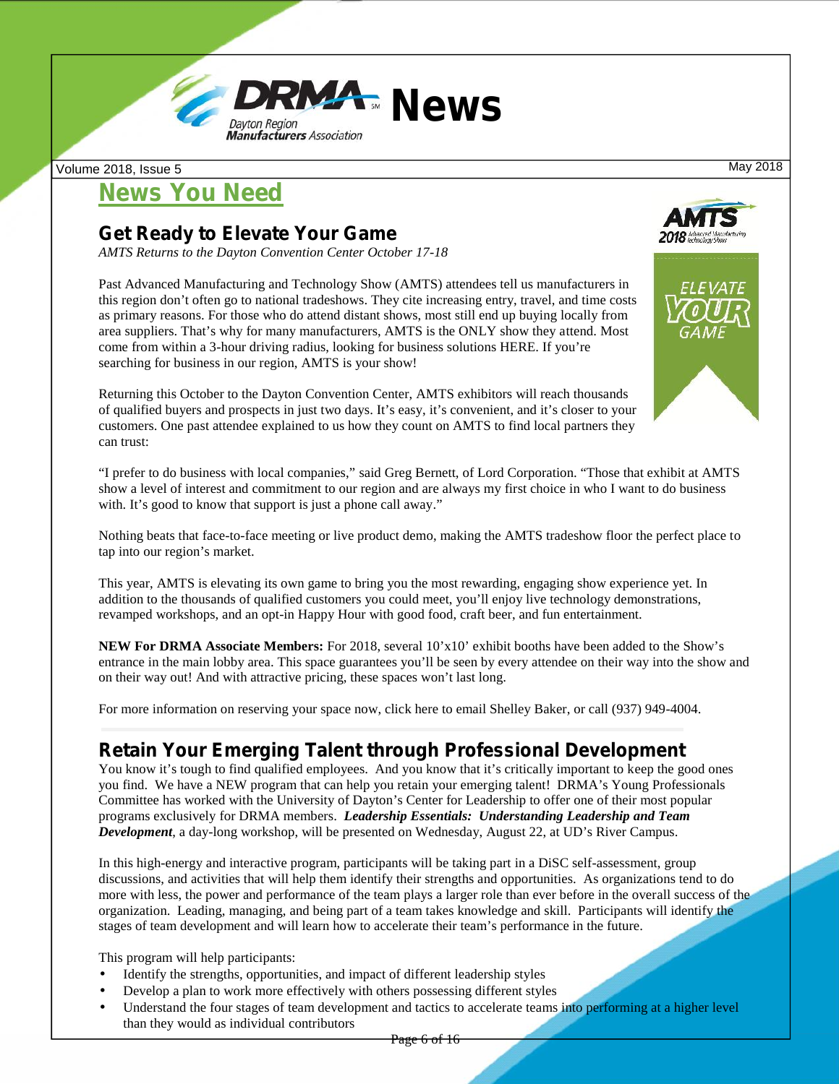

## **News You Need**

### **Get Ready to Elevate Your Game**

*AMTS Returns to the Dayton Convention Center October 17-18*

Past Advanced Manufacturing and Technology Show (AMTS) attendees tell us manufacturers in this region don't often go to national tradeshows. They cite increasing entry, travel, and time costs as primary reasons. For those who do attend distant shows, most still end up buying locally from area suppliers. That's why for many manufacturers, AMTS is the ONLY show they attend. Most come from within a 3-hour driving radius, looking for business solutions HERE. If you're searching for business in our region, AMTS is your show!

Returning this October to the Dayton Convention Center, AMTS exhibitors will reach thousands of qualified buyers and prospects in just two days. It's easy, it's convenient, and it's closer to your customers. One past attendee explained to us how they count on AMTS to find local partners they can trust:

"I prefer to do business with local companies," said Greg Bernett, of Lord Corporation. "Those that exhibit at AMTS show a level of interest and commitment to our region and are always my first choice in who I want to do business with. It's good to know that support is just a phone call away."

Nothing beats that face-to-face meeting or live product demo, making the AMTS tradeshow floor the perfect place to tap into our region's market.

This year, AMTS is elevating its own game to bring you the most rewarding, engaging show experience yet. In addition to the thousands of qualified customers you could meet, you'll enjoy live technology demonstrations, revamped workshops, and an opt-in Happy Hour with good food, craft beer, and fun entertainment.

**NEW For DRMA Associate Members:** For 2018, several 10'x10' exhibit booths have been added to the Show's entrance in the main lobby area. This space guarantees you'll be seen by every attendee on their way into the show and on their way out! And with attractive pricing, these spaces won't last long.

For more information on reserving your space now, click here to email Shelley Baker, or call (937) 949-4004.

### **Retain Your Emerging Talent through Professional Development**

You know it's tough to find qualified employees. And you know that it's critically important to keep the good ones you find. We have a NEW program that can help you retain your emerging talent! DRMA's Young Professionals Committee has worked with the University of Dayton's Center for Leadership to offer one of their most popular programs exclusively for DRMA members. *Leadership Essentials: Understanding Leadership and Team Development*, a day-long workshop, will be presented on Wednesday, August 22, at UD's River Campus.

In this high-energy and interactive program, participants will be taking part in a DiSC self-assessment, group discussions, and activities that will help them identify their strengths and opportunities. As organizations tend to do more with less, the power and performance of the team plays a larger role than ever before in the overall success of the organization. Leading, managing, and being part of a team takes knowledge and skill. Participants will identify the stages of team development and will learn how to accelerate their team's performance in the future.

This program will help participants:

- Identify the strengths, opportunities, and impact of different leadership styles
- Develop a plan to work more effectively with others possessing different styles
- Understand the four stages of team development and tactics to accelerate teams into performing at a higher level than they would as individual contributors



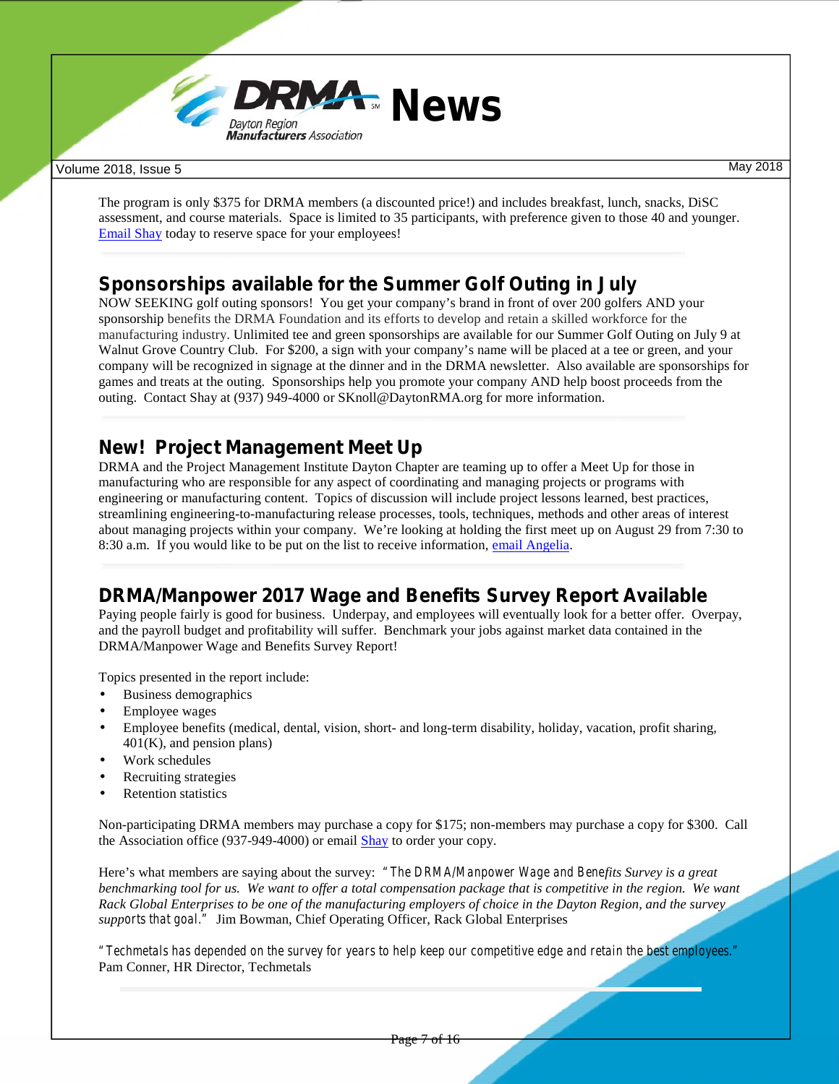

The program is only \$375 for DRMA members (a discounted price!) and includes breakfast, lunch, snacks, DiSC assessment, and course materials. Space is limited to 35 participants, with preference given to those 40 and younger. Email Shay today to reserve space for your employees!

### **Sponsorships available for the Summer Golf Outing in July**

NOW SEEKING golf outing sponsors! You get your company's brand in front of over 200 golfers AND your sponsorship benefits the DRMA Foundation and its efforts to develop and retain a skilled workforce for the manufacturing industry. Unlimited tee and green sponsorships are available for our Summer Golf Outing on July 9 at Walnut Grove Country Club. For \$200, a sign with your company's name will be placed at a tee or green, and your company will be recognized in signage at the dinner and in the DRMA newsletter. Also available are sponsorships for games and treats at the outing. Sponsorships help you promote your company AND help boost proceeds from the outing. Contact Shay at (937) 949-4000 or SKnoll@DaytonRMA.org for more information.

### **New! Project Management Meet Up**

DRMA and the Project Management Institute Dayton Chapter are teaming up to offer a Meet Up for those in manufacturing who are responsible for any aspect of coordinating and managing projects or programs with engineering or manufacturing content. Topics of discussion will include project lessons learned, best practices, streamlining engineering-to-manufacturing release processes, tools, techniques, methods and other areas of interest about managing projects within your company. We're looking at holding the first meet up on August 29 from 7:30 to 8:30 a.m. If you would like to be put on the list to receive information, email Angelia.

### **DRMA/Manpower 2017 Wage and Benefits Survey Report Available**

Paying people fairly is good for business. Underpay, and employees will eventually look for a better offer. Overpay, and the payroll budget and profitability will suffer. Benchmark your jobs against market data contained in the DRMA/Manpower Wage and Benefits Survey Report!

Topics presented in the report include:

- Business demographics
- Employee wages
- Employee benefits (medical, dental, vision, short- and long-term disability, holiday, vacation, profit sharing,  $401(K)$ , and pension plans)
- Work schedules
- Recruiting strategies
- Retention statistics

Non-participating DRMA members may purchase a copy for \$175; non-members may purchase a copy for \$300. Call the Association office (937-949-4000) or email Shay to order your copy.

Here's what members are saying about the survey: *"The DRMA/Manpower Wage and Benefits Survey is a great benchmarking tool for us. We want to offer a total compensation package that is competitive in the region. We want Rack Global Enterprises to be one of the manufacturing employers of choice in the Dayton Region, and the survey supports that goal."* Jim Bowman, Chief Operating Officer, Rack Global Enterprises

*"Techmetals has depended on the survey for years to help keep our competitive edge and retain the best employees."* Pam Conner, HR Director, Techmetals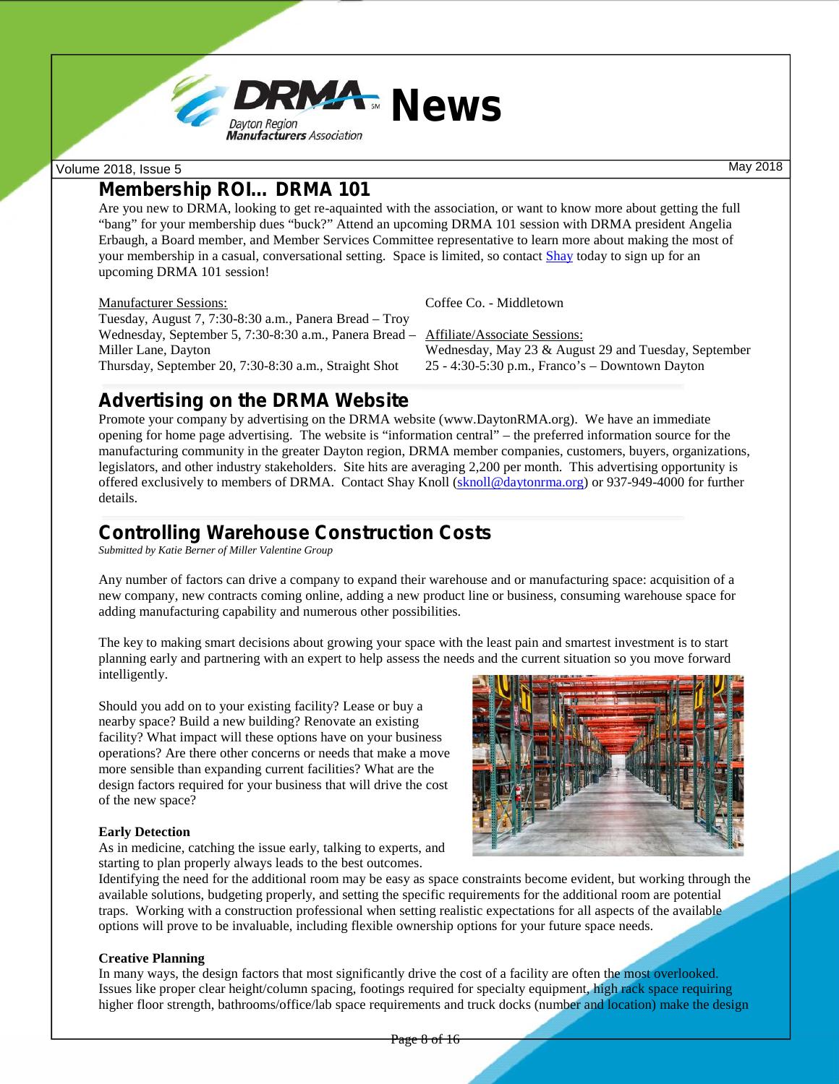

### **Membership ROI… DRMA 101**

Are you new to DRMA, looking to get re-aquainted with the association, or want to know more about getting the full "bang" for your membership dues "buck?" Attend an upcoming DRMA 101 session with DRMA president Angelia Erbaugh, a Board member, and Member Services Committee representative to learn more about making the most of your membership in a casual, conversational setting. Space is limited, so contact Shay today to sign up for an upcoming DRMA 101 session!

#### Manufacturer Sessions:

Tuesday, August 7, 7:30-8:30 a.m., Panera Bread – Troy Wednesday, September 5, 7:30-8:30 a.m., Panera Bread – Miller Lane, Dayton Thursday, September 20, 7:30-8:30 a.m., Straight Shot

Coffee Co. - Middletown

Affiliate/Associate Sessions: Wednesday, May 23 & August 29 and Tuesday, September 25 - 4:30-5:30 p.m., Franco's – Downtown Dayton

### **Advertising on the DRMA Website**

Promote your company by advertising on the DRMA website (<www.DaytonRMA.org>). We have an immediate opening for home page advertising. The website is "information central" – the preferred information source for the manufacturing community in the greater Dayton region, DRMA member companies, customers, buyers, organizations, legislators, and other industry stakeholders. Site hits are averaging 2,200 per month. This advertising opportunity is offered exclusively to members of DRMA. Contact Shay Knoll (sknoll@daytonrma.org) or 937-949-4000 for further details.

### **Controlling Warehouse Construction Costs**

*Submitted by Katie Berner of Miller Valentine Group*

Any number of factors can drive a company to expand their warehouse and or manufacturing space: acquisition of a new company, new contracts coming online, adding a new product line or business, consuming warehouse space for adding manufacturing capability and numerous other possibilities.

The key to making smart decisions about growing your space with the least pain and smartest investment is to start planning early and partnering with an expert to help assess the needs and the current situation so you move forward intelligently.

Should you add on to your existing facility? Lease or buy a nearby space? Build a new building? Renovate an existing facility? What impact will these options have on your business operations? Are there other concerns or needs that make a move more sensible than expanding current facilities? What are the design factors required for your business that will drive the cost of the new space?

### **Early Detection**

As in medicine, catching the issue early, talking to experts, and starting to plan properly always leads to the best outcomes.



Identifying the need for the additional room maybe easy as space constraints become evident, but working through the available solutions, budgeting properly, and setting the specific requirements for the additional room are potential traps. Working with a construction professional when setting realistic expectations for all aspects of the available options will prove to be invaluable, including flexible ownership options for your future space needs.

#### **Creative Planning**

In many ways, the design factors that most significantly drive the cost of a facility are often the most overlooked. Issues like proper clear height/column spacing, footings required for specialty equipment, high rack space requiring higher floor strength, bathrooms/office/lab space requirements and truck docks (number and location) make the design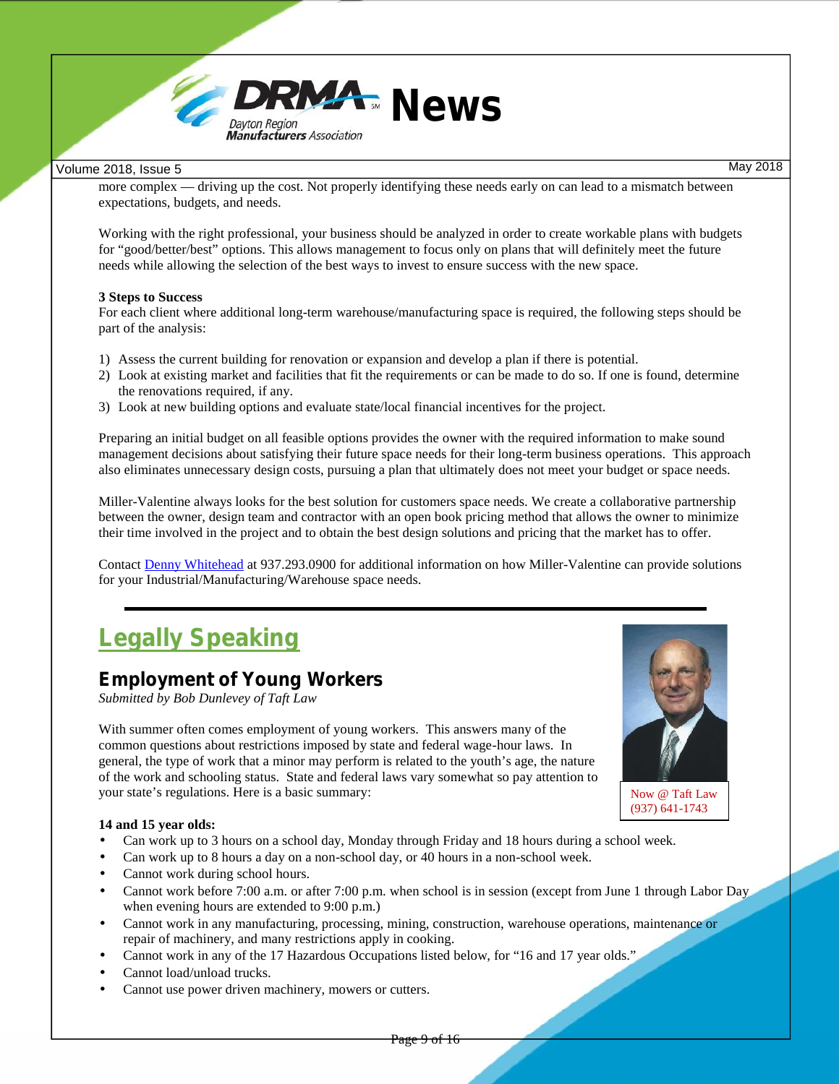

more complex — driving up the cost. Not properly identifying these needs early on can lead to a mismatch between expectations, budgets, and needs.

Working with the right professional, your business should be analyzed in order to create workable plans with budgets for "good/better/best" options. This allows management to focus only on plans that will definitely meet the future needs while allowing the selection of the best ways to invest to ensure success with the new space.

#### **3 Steps to Success**

For each client where additional long-term warehouse/manufacturing space is required, the following steps should be part of the analysis:

- 1) Assess the current building for renovation or expansion and develop a plan if there is potential.
- 2) Look at existing market and facilities that fit the requirements or can be made to do so. If one is found, determine the renovations required, if any.
- 3) Look at new building options and evaluate state/local financial incentives for the project.

Preparing an initial budget on all feasible options provides the owner with the required information to make sound management decisions about satisfying their future space needs for their long-term business operations. This approach also eliminates unnecessary design costs, pursuing a plan that ultimately does not meet your budget or space needs.

Miller-Valentine always looks for the best solution for customers space needs. We create a collaborative partnership between the owner, design team and contractor with an open book pricing method that allows the owner to minimize their time involved in the project and to obtain the best design solutions and pricing that the market has to offer.

Contact Denny Whitehead at 937.293.0900 for additional information on how Miller-Valentine can provide solutions for your Industrial/Manufacturing/Warehouse space needs.

## **Legally Speaking**

### **Employment of Young Workers**

*Submitted by Bob Dunlevey of Taft Law*

With summer often comes employment of young workers. This answers many of the common questions about restrictions imposed by state and federal wage-hour laws. In general, the type of work that a minor may perform is related to the youth's age, the nature of the work and schooling status. State and federal laws vary somewhat so pay attention to your state's regulations. Here is a basic summary:



Now @ Taft Law (937) 641-1743

#### **14 and 15 year olds:**

- Can work up to 3 hours on a school day, Monday through Friday and 18 hours during a school week.
- Can work up to 8 hours a day on a non-school day, or 40 hours in a non-school week.
- Cannot work during school hours.
- Cannot work before 7:00 a.m. or after 7:00 p.m. when school is in session (except from June 1 through Labor Day when evening hours are extended to 9:00 p.m.)
- Cannot work in any manufacturing, processing, mining, construction, warehouse operations, maintenance or repair of machinery, and many restrictions apply in cooking.
- Cannot work in any of the 17 Hazardous Occupations listed below, for "16 and 17 year olds."
- Cannot load/unload trucks.
- Cannot use power driven machinery, mowers or cutters.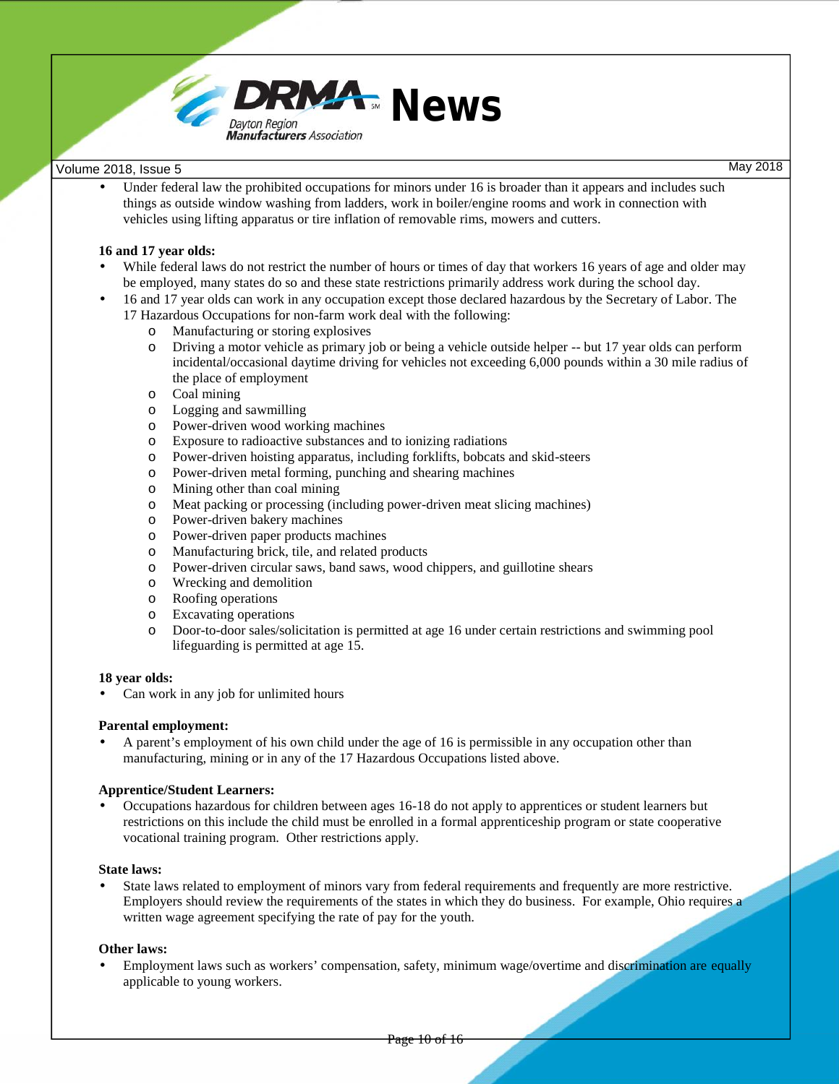

 Under federal law the prohibited occupations for minors under 16 is broader than it appears and includes such things as outside window washing from ladders, work in boiler/engine rooms and work in connection with vehicles using lifting apparatus or tire inflation of removable rims, mowers and cutters.

#### **16 and 17 year olds:**

- While federal laws do not restrict the number of hours or times of day that workers 16 years of age and older may be employed, many states do so and these state restrictions primarily address work during the school day.
- 16 and 17 year olds can work in any occupation except those declared hazardous by the Secretary of Labor. The
	- 17 Hazardous Occupations for non-farm work deal with the following:
		- o Manufacturing or storing explosives
		- o Driving a motor vehicle as primary job or being a vehicle outside helper -- but 17 year olds can perform incidental/occasional daytime driving for vehicles not exceeding 6,000 pounds within a 30 mile radius of the place of employment
		- o Coal mining
		- o Logging and sawmilling
		- o Power-driven wood working machines
		- o Exposure to radioactive substances and to ionizing radiations
		- o Power-driven hoisting apparatus, including forklifts, bobcats and skid-steers
		- o Power-driven metal forming, punching and shearing machines
		- o Mining other than coal mining
		- o Meat packing or processing (including power-driven meat slicing machines)
		- o Power-driven bakery machines
		- o Power-driven paper products machines
		- o Manufacturing brick, tile, and related products
		- o Power-driven circular saws, band saws, wood chippers, and guillotine shears
		- o Wrecking and demolition
		- o Roofing operations
		- o Excavating operations
		- o Door-to-door sales/solicitation is permitted at age 16 under certain restrictions and swimming pool lifeguarding is permitted at age 15.

#### **18 year olds:**

Can work in any job for unlimited hours

#### **Parental employment:**

 A parent's employment of his own child under the age of 16 is permissible in any occupation other than manufacturing, mining or in any of the 17 Hazardous Occupations listed above.

#### **Apprentice/Student Learners:**

 Occupations hazardous for children between ages 16-18 do not apply to apprentices or student learners but restrictions on this include the child must be enrolled in a formal apprenticeship program or state cooperative vocational training program. Other restrictions apply.

#### **State laws:**

 State laws related to employment of minors vary from federal requirements and frequently are more restrictive. Employers should review the requirements of the states in which they do business. For example, Ohio requires a written wage agreement specifying the rate of pay for the youth.

#### **Other laws:**

 Employment laws such as workers' compensation, safety, minimum wage/overtime and discrimination are equally applicable to young workers.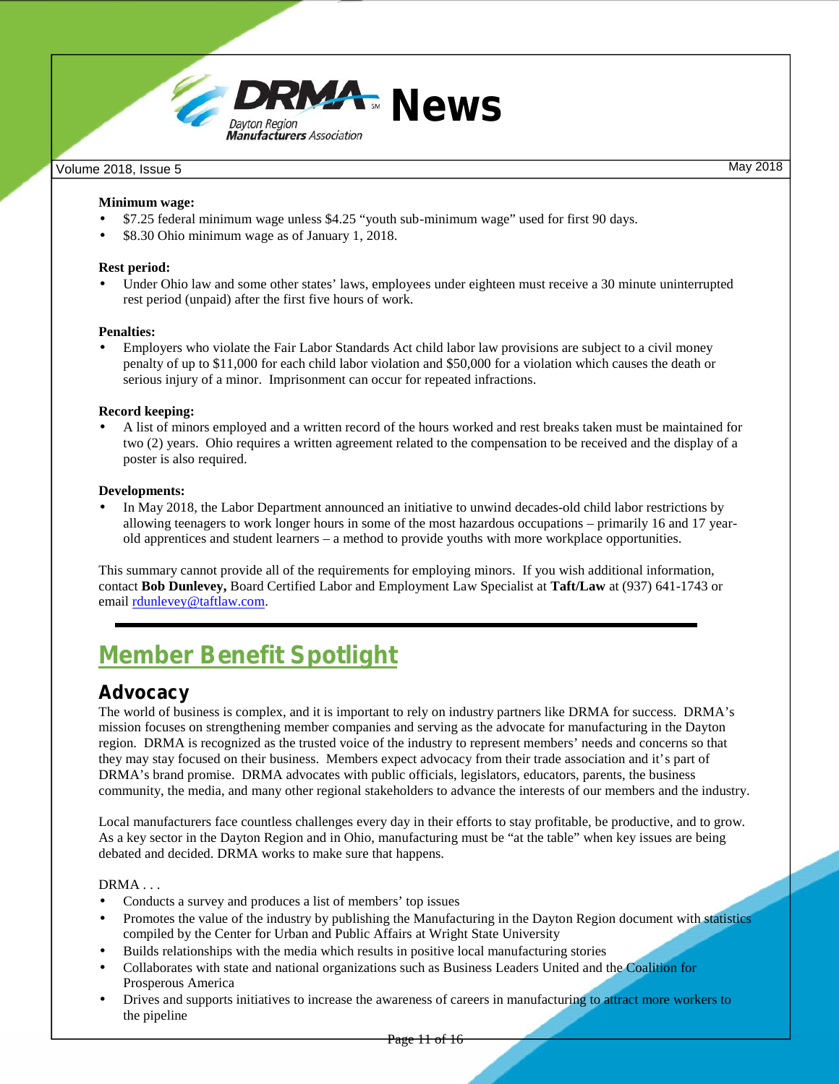

#### **Minimum wage:**

- \$7.25 federal minimum wage unless \$4.25 "youth sub-minimum wage" used for first 90 days.
- \$8.30 Ohio minimum wage as of January 1, 2018.

#### **Rest period:**

 Under Ohio law and some other states' laws, employees under eighteen must receive a 30 minute uninterrupted rest period (unpaid) after the first five hours of work.

#### **Penalties:**

 Employers who violate the Fair Labor Standards Act child labor law provisions are subject to a civil money penalty of up to \$11,000 for each child labor violation and \$50,000 for a violation which causes the death or serious injury of a minor. Imprisonment can occur for repeated infractions.

#### **Record keeping:**

 A list of minors employed and a written record of the hours worked and rest breaks taken must be maintained for two (2) years. Ohio requires a written agreement related to the compensation to be received and the display of a poster is also required.

#### **Developments:**

 In May 2018, the Labor Department announced an initiative to unwind decades-old child labor restrictions by allowing teenagers to work longer hours in some of the most hazardous occupations – primarily 16 and 17 year old apprentices and student learners – a method to provide youths with more workplace opportunities.

This summary cannot provide all of the requirements for employing minors. If you wish additional information, contact **Bob Dunlevey,** Board Certified Labor and Employment Law Specialist at **Taft/Law** at (937) 641-1743 or email rdunlevey@taftlaw.com.

## **Member Benefit Spotlight**

### **Advocacy**

The world of business is complex, and it is important to rely on industry partners like DRMA for success. DRMA's mission focuses on strengthening member companies and serving as the advocate for manufacturing in the Dayton region. DRMA is recognized as the trusted voice of the industry to represent members' needs and concerns so that they may stay focused on their business. Members expect advocacy from their trade association and it's part of DRMA's brand promise. DRMA advocates with public officials, legislators, educators, parents, the business community, the media, and many other regional stakeholders to advance the interests of our members and the industry.

Local manufacturers face countless challenges every day in their efforts to stay profitable, be productive, and to grow. As a key sector in the Dayton Region and in Ohio, manufacturing must be "at the table" when key issues are being debated and decided. DRMA works to make sure that happens.

#### DRMA . . .

- Conducts a survey and produces a list of members' top issues
- Promotes the value of the industry by publishing the Manufacturing in the Dayton Region document with statistics compiled by the Center for Urban and Public Affairs at Wright State University
- Builds relationships with the media which results in positive local manufacturing stories
- Collaborates with state and national organizations such as Business Leaders United and the Coalition for Prosperous America
- Drives and supports initiatives to increase the awareness of careers in manufacturing to attract more workers to the pipeline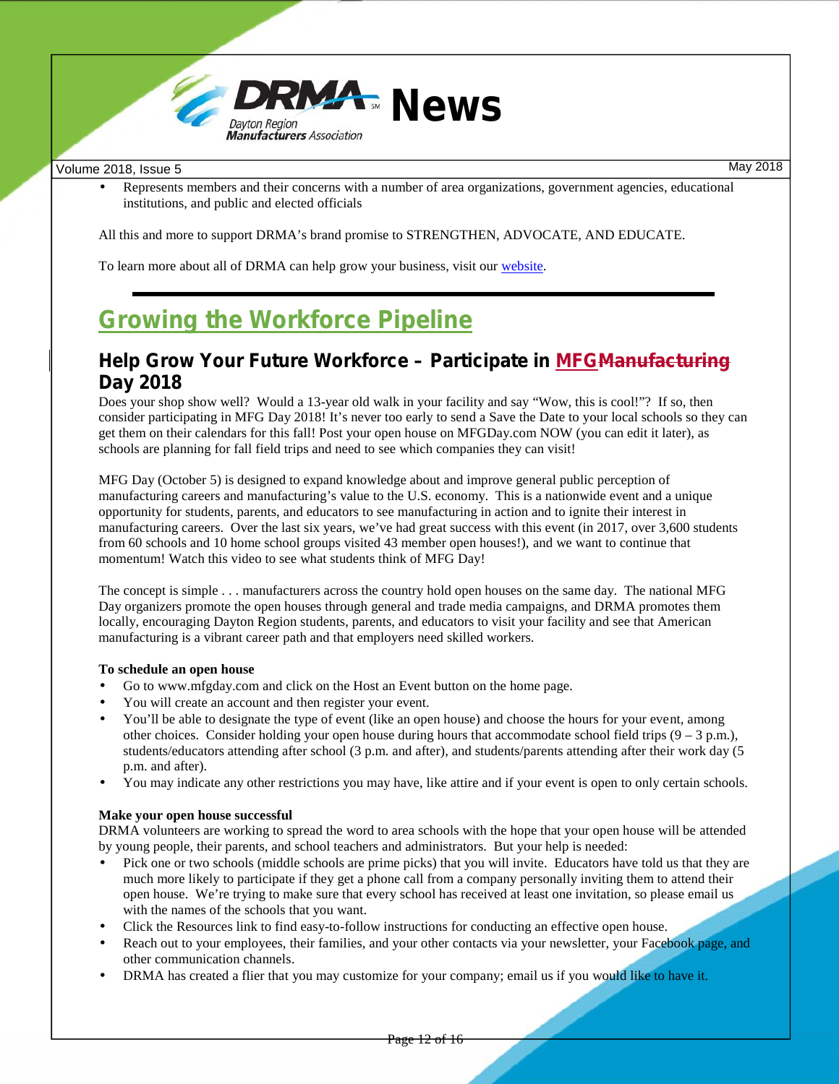

 Represents members and their concerns with a number of area organizations, government agencies, educational institutions, and public and elected officials

All this and more to support DRMA's brand promise to STRENGTHEN, ADVOCATE, AND EDUCATE.

To learn more about all of DRMA can help grow your business, visit our website.

## **Growing the Workforce Pipeline**

### **Help Grow Your Future Workforce – Participate in MFGManufacturing Day 2018**

Does your shop show well? Would a 13-year old walk in your facility and say "Wow, this is cool!"? If so, then consider participating in MFG Day 2018! It's never too early to send a Save the Date to your local schools so they can get them on their calendars for this fall! Post your open house on MFGDay.com NOW (you can edit it later), as schools are planning for fall field trips and need to see which companies they can visit!

MFG Day (October 5) is designed to expand knowledge about and improve general public perception of manufacturing careers and manufacturing's value to the U.S. economy. This is a nationwide event and a unique opportunity for students, parents, and educators to see manufacturing in action and to ignite their interest in manufacturing careers. Over the last six years, we've had great success with this event (in 2017, over 3,600 students from 60 schools and 10 home school groups visited 43 member open houses!), and we want to continue that momentum! Watch this video to see what students think of MFG Day!

The concept is simple . . . manufacturers across the country hold open houses on the same day. The national MFG Day organizers promote the open houses through general and trade media campaigns, and DRMA promotes them locally, encouraging Dayton Region students, parents, and educators to visit your facility and see that American manufacturing is a vibrant career path and that employers need skilled workers.

#### **To schedule an open house**

- Go to<www.mfgday.com> and click on the Host an Event button on the home page.
- You will create an account and then register your event.
- You'll be able to designate the type of event (like an open house) and choose the hours for your event, among other choices. Consider holding your open house during hours that accommodate school field trips  $(9 - 3 p.m.)$ , students/educators attending after school (3 p.m. and after), and students/parents attending after their work day (5 p.m. and after).
- You may indicate any other restrictions you may have, like attire and if your event is open to only certain schools.

#### **Make your open house successful**

DRMA volunteers are working to spread the word to area schools with the hope that your open house will be attended by young people, their parents, and school teachers and administrators. But your help is needed:

- Pick one or two schools (middle schools are prime picks) that you will invite. Educators have told us that they are much more likely to participate if they get a phone call from a company personally inviting them to attend their open house. We're trying to make sure that every school has received at least one invitation, so please email us with the names of the schools that you want.
- Click the Resources link to find easy-to-follow instructions for conducting an effective open house.
- Reach out to your employees, their families, and your other contacts via your newsletter, your Facebook page, and other communication channels.
- DRMA has created a flier that you may customize for your company; email us if you would like to have it.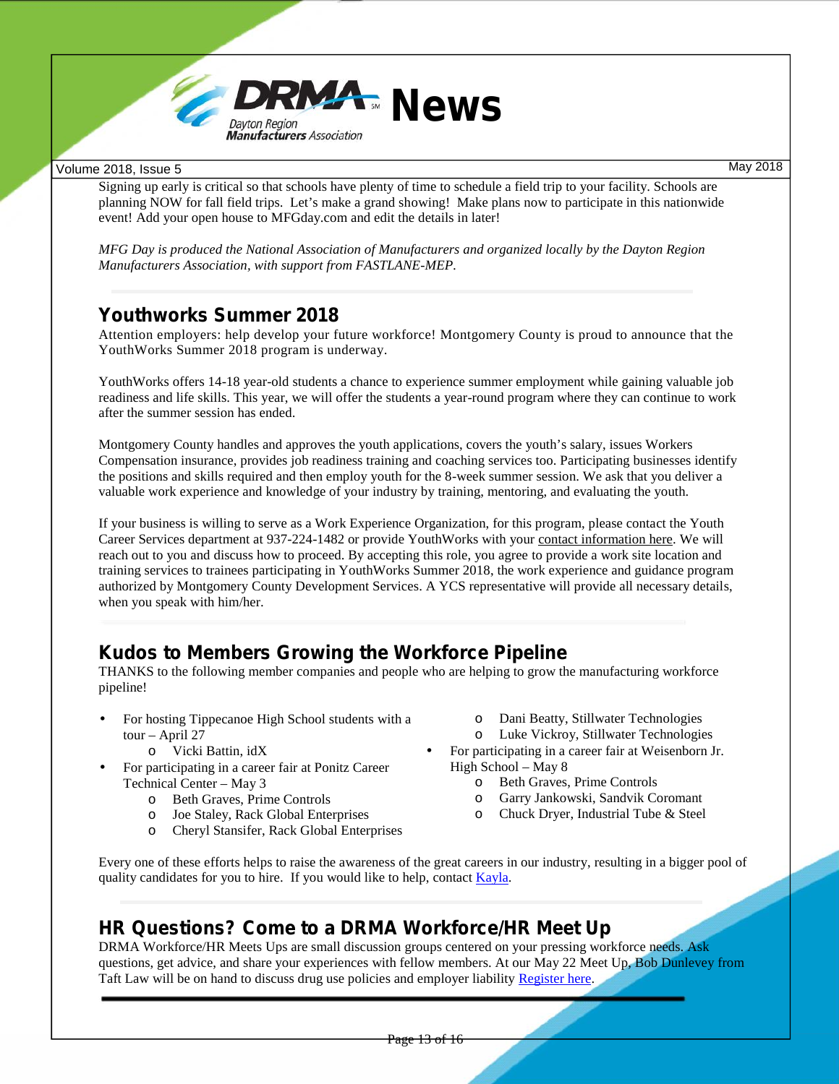

Signing up early is critical so that schools have plenty of time to schedule a field trip to your facility. Schools are planning NOW for fall field trips. Let's make a grand showing! Make plans now to participate in this nationwide event! Add your open house to MFGday.com and edit the details in later!

*MFG Day is produced the National Association of Manufacturers and organized locally by the Dayton Region Manufacturers Association, with support from FASTLANE-MEP.*

### **Youthworks Summer 2018**

Attention employers: help develop your future workforce! Montgomery County is proud to announce that the YouthWorks Summer 2018 program is underway.

YouthWorks offers 14-18 year-old students a chance to experience summer employment while gaining valuable job readiness and life skills. This year, we will offer the students a year-round program where they can continue to work after the summer session has ended.

Montgomery County handles and approves the youth applications, covers the youth's salary, issues Workers Compensation insurance, provides job readiness training and coaching services too. Participating businesses identify the positions and skills required and then employ youth for the 8-week summer session. We ask that you deliver a valuable work experience and knowledge of your industry by training, mentoring, and evaluating the youth.

If your business is willing to serve as a Work Experience Organization, for this program, please contact the Youth Career Services department at 937-224-1482 or provide YouthWorks with your contact information here. We will reach out to you and discuss how to proceed. By accepting this role, you agree to provide a work site location and training services to trainees participating in YouthWorks Summer 2018, the work experience and guidance program authorized by Montgomery County Development Services. A YCS representative will provide all necessary details, when you speak with him/her.

### **Kudos to Members Growing the Workforce Pipeline**

THANKS to the following member companies and people who are helping to grow the manufacturing workforce pipeline!

- For hosting Tippecanoe High School students with a tour – April 27
	- o Vicki Battin, idX
- For participating in a career fair at Ponitz Career Technical Center – May 3
	- o Beth Graves, Prime Controls
	- o Joe Staley, Rack Global Enterprises
	- o Cheryl Stansifer, Rack Global Enterprises
- o Dani Beatty, Stillwater Technologies
- o Luke Vickroy, Stillwater Technologies
- For participating in a career fair at Weisenborn Jr. High School – May 8
	- o Beth Graves, Prime Controls
	- o Garry Jankowski, Sandvik Coromant
	- o Chuck Dryer, Industrial Tube & Steel

Every one of these efforts helps to raise the awareness of the great careers in our industry, resulting in a bigger pool of quality candidates for you to hire. If you would like to help, contact Kayla.

### **HR Questions? Come to a DRMA Workforce/HR Meet Up**

DRMA Workforce/HR Meets Ups are small discussion groups centered on your pressing workforce needs. Ask questions, get advice, and share your experiences with fellow members. At our May 22 Meet Up, Bob Dunlevey from Taft Law will be on hand to discuss drug use policies and employer liability Register here.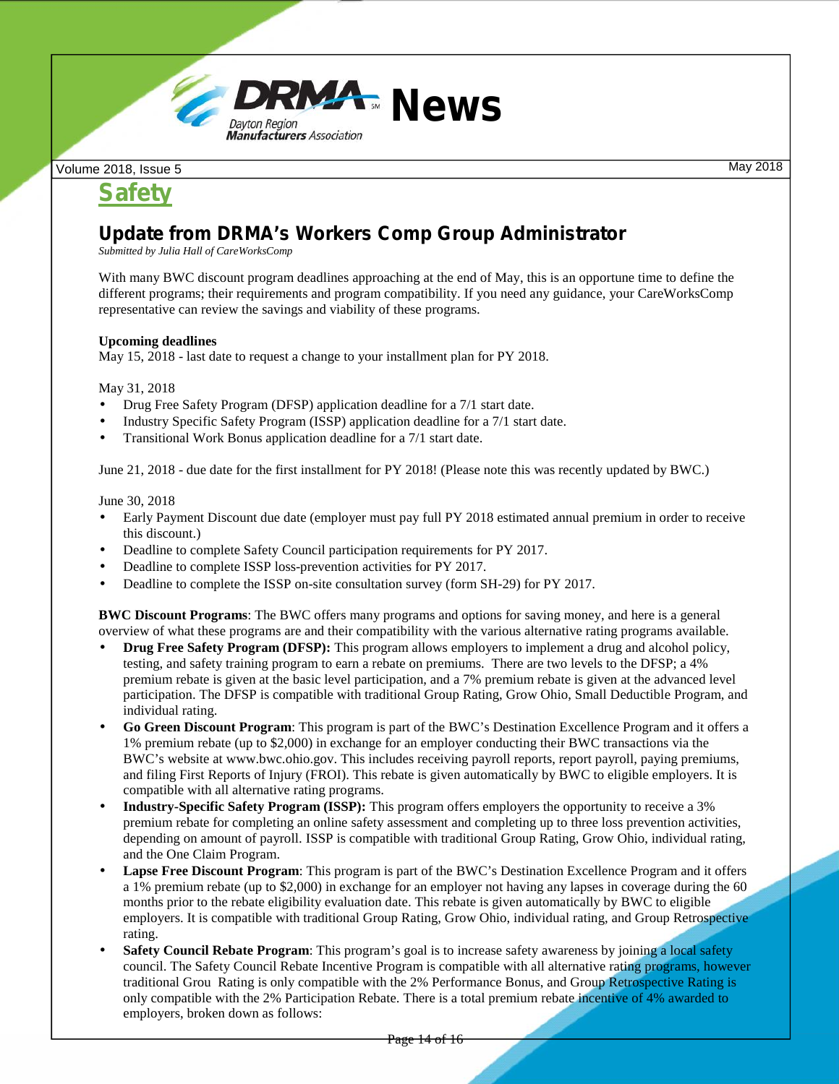

**Safety**

### **Update from DRMA's Workers Comp Group Administrator**

*Submitted by Julia Hall of CareWorksComp*

With many BWC discount program deadlines approaching at the end of May, this is an opportune time to define the different programs; their requirements and program compatibility. If you need any guidance, your CareWorksComp representative can review the savings and viability of these programs.

#### **Upcoming deadlines**

May 15, 2018 - last date to request a change to your installment plan for PY 2018.

May 31, 2018

- Drug Free Safety Program (DFSP) application deadline for a 7/1 start date.
- Industry Specific Safety Program (ISSP) application deadline for a 7/1 start date.
- Transitional Work Bonus application deadline for a 7/1 start date.

June 21, 2018 - due date for the first installment for PY 2018! (Please note this was recently updated by BWC.)

June 30, 2018

- Early Payment Discount due date (employer must pay full PY 2018 estimated annual premium in order to receive this discount.)
- Deadline to complete Safety Council participation requirements for PY 2017.
- Deadline to complete ISSP loss-prevention activities for PY 2017.
- Deadline to complete the ISSP on-site consultation survey (form SH-29) for PY 2017.

**BWC Discount Programs**: The BWC offers many programs and options for saving money, and here is a general overview of what these programs are and their compatibility with the various alternative rating programs available.

- **Drug Free Safety Program (DFSP):** This program allows employers to implement a drug and alcohol policy, testing, and safety training program to earn a rebate on premiums. There are two levels to the DFSP; a 4% premium rebate is given at the basic level participation, and a 7% premium rebate is given at the advanced level participation. The DFSP is compatible with traditional Group Rating, Grow Ohio, Small Deductible Program, and individual rating.
- **Go Green Discount Program**: This program is part of the BWC's Destination Excellence Program and it offers a 1% premium rebate (up to \$2,000) in exchange for an employer conducting their BWC transactions via the BWC's website at<www.bwc.ohio.gov.> This includes receiving payroll reports, report payroll, paying premiums, and filing First Reports of Injury (FROI). This rebate is given automatically by BWC to eligible employers. It is compatible with all alternative rating programs.
- **Industry-Specific Safety Program (ISSP):** This program offers employers the opportunity to receive a 3% premium rebate for completing an online safety assessment and completing up to three loss prevention activities, depending on amount of payroll. ISSP is compatible with traditional Group Rating, Grow Ohio, individual rating, and the One Claim Program.
- **Lapse Free Discount Program**: This program is part of the BWC's Destination Excellence Program and it offers a 1% premium rebate (up to \$2,000) in exchange for an employer not having any lapses in coverage during the 60 months prior to the rebate eligibility evaluation date. This rebate is given automatically by BWC to eligible employers. It is compatible with traditional Group Rating, Grow Ohio, individual rating, and Group Retrospective rating.
- **Safety Council Rebate Program**: This program's goal is to increase safety awareness by joining a local safety council. The Safety Council Rebate Incentive Program is compatible with all alternative rating programs, however traditional Grou Rating is only compatible with the 2% Performance Bonus, and Group Retrospective Rating is only compatible with the 2% Participation Rebate. There is a total premium rebate incentive of 4% awarded to employers, broken down as follows: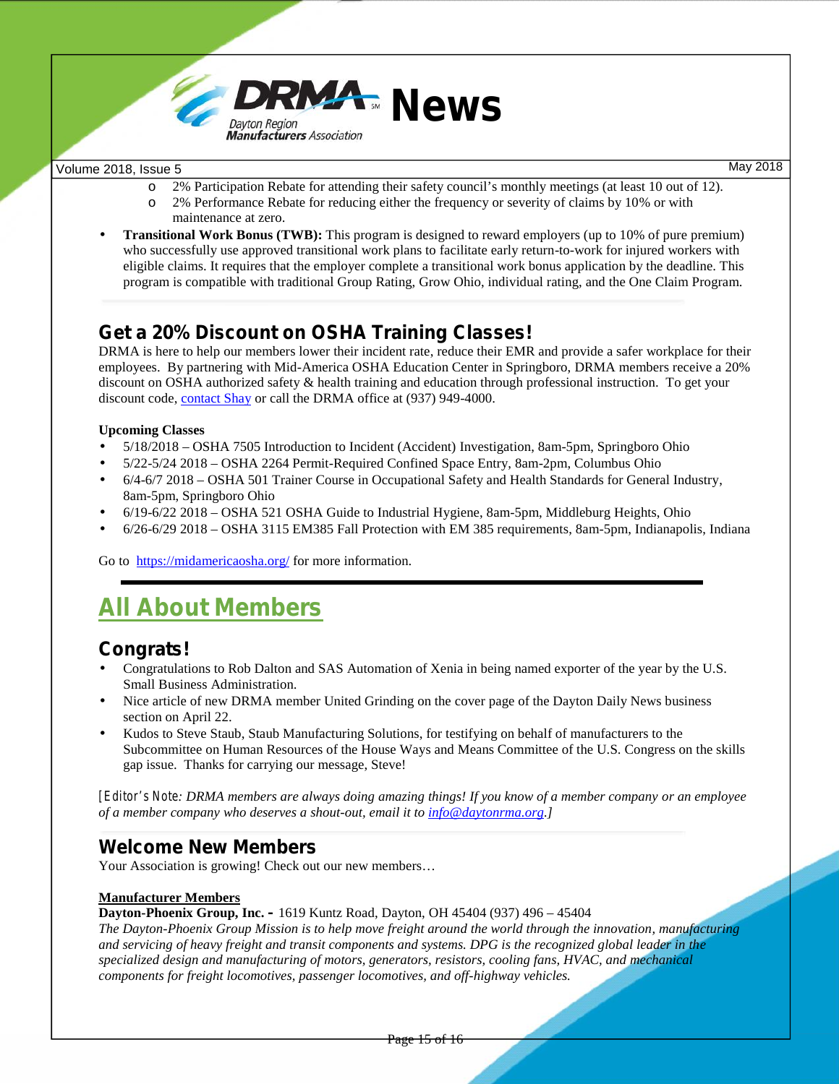

- 2% Participation Rebate for attending their safety council's monthly meetings (at least 10 out of 12).
- o 2% Performance Rebate for reducing either the frequency or severity of claims by 10% or with maintenance at zero.
- **Transitional Work Bonus (TWB):** This program is designed to reward employers (up to 10% of pure premium) who successfully use approved transitional work plans to facilitate early return-to-work for injured workers with eligible claims. It requires that the employer complete a transitional work bonus application by the deadline. This program is compatible with traditional Group Rating, Grow Ohio, individual rating, and the One Claim Program.

### **Get a 20% Discount on OSHA Training Classes!**

DRMA is here to help our members lower their incident rate, reduce their EMR and provide a safer workplace for their employees. By partnering with Mid-America OSHA Education Center in Springboro, DRMA members receive a 20% discount on OSHA authorized safety & health training and education through professional instruction. To get your discount code, contact Shay or call the DRMA office at (937) 949-4000.

### **Upcoming Classes**

- 5/18/2018 OSHA 7505 Introduction to Incident (Accident) Investigation, 8am-5pm, Springboro Ohio
- 5/22-5/24 2018 OSHA 2264 Permit-Required Confined Space Entry, 8am-2pm, Columbus Ohio
- 6/4-6/7 2018 OSHA 501 Trainer Course in Occupational Safety and Health Standards for General Industry, 8am-5pm, Springboro Ohio
- 6/19-6/22 2018 OSHA 521 OSHA Guide to Industrial Hygiene, 8am-5pm, Middleburg Heights, Ohio
- 6/26-6/29 2018 OSHA 3115 EM385 Fall Protection with EM 385 requirements, 8am-5pm, Indianapolis, Indiana

Go to <https://midamericaosha.org/> for more information.

# **All About Members**

### **Congrats!**

- Congratulations to Rob Dalton and SAS Automation of Xenia in being named exporter of the year by the U.S. Small Business Administration.
- Nice article of new DRMA member United Grinding on the cover page of the Dayton Daily News business section on April 22.
- Kudos to Steve Staub, Staub Manufacturing Solutions, for testifying on behalf of manufacturers to the Subcommittee on Human Resources of the House Ways and Means Committee of the U.S. Congress on the skills gap issue. Thanks for carrying our message, Steve!

*[Editor's Note: DRMA members are always doing amazing things! If you know of a member company or an employee of a member company who deserves a shout-out, email it to info@daytonrma.org.]*

### **Welcome New Members**

Your Association is growing! Check out our new members...

#### **Manufacturer Members**

#### **Dayton-Phoenix Group, Inc. –** 1619 Kuntz Road, Dayton, OH 45404 (937) 496 – 45404

*The Dayton-Phoenix Group Mission is to help move freight around the world through the innovation, manufacturing and servicing of heavy freight and transit components and systems. DPG is the recognized global leader in the specialized design and manufacturing of motors, generators, resistors, cooling fans, HVAC, and mechanical components for freight locomotives, passenger locomotives, and off-highway vehicles.*